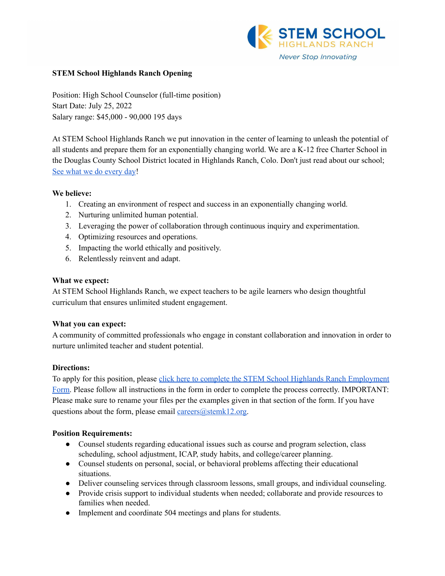

#### **STEM School Highlands Ranch Opening**

Position: High School Counselor (full-time position) Start Date: July 25, 2022 Salary range: \$45,000 - 90,000 195 days

At STEM School Highlands Ranch we put innovation in the center of learning to unleash the potential of all students and prepare them for an exponentially changing world. We are a K-12 free Charter School in the Douglas County School District located in Highlands Ranch, Colo. Don't just read about our school; See what we do [every](https://www.youtube.com/channel/UCEjas5mnML_7D6bnjE6cBXQ) day!

### **We believe:**

- 1. Creating an environment of respect and success in an exponentially changing world.
- 2. Nurturing unlimited human potential.
- 3. Leveraging the power of collaboration through continuous inquiry and experimentation.
- 4. Optimizing resources and operations.
- 5. Impacting the world ethically and positively.
- 6. Relentlessly reinvent and adapt.

#### **What we expect:**

At STEM School Highlands Ranch, we expect teachers to be agile learners who design thoughtful curriculum that ensures unlimited student engagement.

### **What you can expect:**

A community of committed professionals who engage in constant collaboration and innovation in order to nurture unlimited teacher and student potential.

### **Directions:**

To apply for this position, please click here to complete the STEM School Highlands Ranch [Employment](https://docs.google.com/forms/d/e/1FAIpQLSfix8N5Y4r8UN-EoNntuUI_3ZGfalCIW_KiKAja-s9jkUit8g/viewform?usp=sf_link) [Form.](https://docs.google.com/forms/d/e/1FAIpQLSfix8N5Y4r8UN-EoNntuUI_3ZGfalCIW_KiKAja-s9jkUit8g/viewform?usp=sf_link) Please follow all instructions in the form in order to complete the process correctly. IMPORTANT: Please make sure to rename your files per the examples given in that section of the form. If you have questions about the form, please email  $\frac{ \text{ca} \cdot \text{cers}(\partial \text{stemk12.org})}{ \text{ca} \cdot \text{cers}}$ .

### **Position Requirements:**

- Counsel students regarding educational issues such as course and program selection, class scheduling, school adjustment, ICAP, study habits, and college/career planning.
- Counsel students on personal, social, or behavioral problems affecting their educational situations.
- Deliver counseling services through classroom lessons, small groups, and individual counseling.
- Provide crisis support to individual students when needed; collaborate and provide resources to families when needed.
- Implement and coordinate 504 meetings and plans for students.